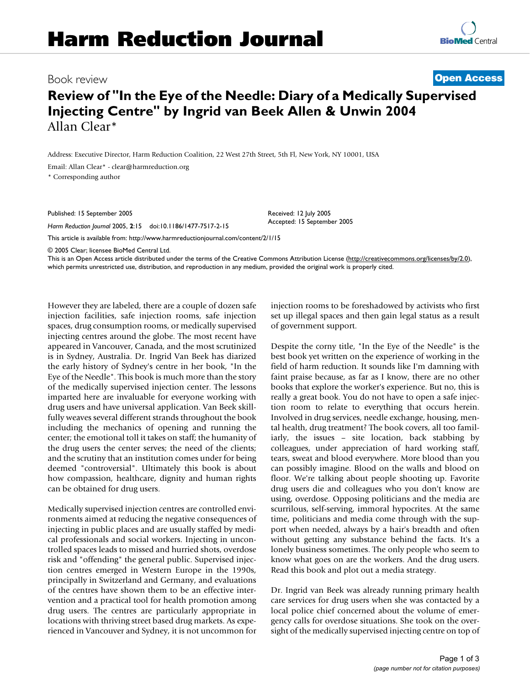Book review **[Open Access](http://www.biomedcentral.com/info/about/charter/)**

## **Review of "In the Eye of the Needle: Diary of a Medically Supervised Injecting Centre" by Ingrid van Beek Allen & Unwin 2004** Allan Clear\*

Address: Executive Director, Harm Reduction Coalition, 22 West 27th Street, 5th Fl, New York, NY 10001, USA

Email: Allan Clear\* - clear@harmreduction.org

\* Corresponding author

Published: 15 September 2005

*Harm Reduction Journal* 2005, **2**:15 doi:10.1186/1477-7517-2-15

[This article is available from: http://www.harmreductionjournal.com/content/2/1/15](http://www.harmreductionjournal.com/content/2/1/15)

© 2005 Clear; licensee BioMed Central Ltd.

This is an Open Access article distributed under the terms of the Creative Commons Attribution License [\(http://creativecommons.org/licenses/by/2.0\)](http://creativecommons.org/licenses/by/2.0), which permits unrestricted use, distribution, and reproduction in any medium, provided the original work is properly cited.

Received: 12 July 2005 Accepted: 15 September 2005

However they are labeled, there are a couple of dozen safe injection facilities, safe injection rooms, safe injection spaces, drug consumption rooms, or medically supervised injecting centres around the globe. The most recent have appeared in Vancouver, Canada, and the most scrutinized is in Sydney, Australia. Dr. Ingrid Van Beek has diarized the early history of Sydney's centre in her book, "In the Eye of the Needle". This book is much more than the story of the medically supervised injection center. The lessons imparted here are invaluable for everyone working with drug users and have universal application. Van Beek skillfully weaves several different strands throughout the book including the mechanics of opening and running the center; the emotional toll it takes on staff; the humanity of the drug users the center serves; the need of the clients; and the scrutiny that an institution comes under for being deemed "controversial". Ultimately this book is about how compassion, healthcare, dignity and human rights can be obtained for drug users.

Medically supervised injection centres are controlled environments aimed at reducing the negative consequences of injecting in public places and are usually staffed by medical professionals and social workers. Injecting in uncontrolled spaces leads to missed and hurried shots, overdose risk and "offending" the general public. Supervised injection centres emerged in Western Europe in the 1990s, principally in Switzerland and Germany, and evaluations of the centres have shown them to be an effective intervention and a practical tool for health promotion among drug users. The centres are particularly appropriate in locations with thriving street based drug markets. As experienced in Vancouver and Sydney, it is not uncommon for injection rooms to be foreshadowed by activists who first set up illegal spaces and then gain legal status as a result of government support.

Despite the corny title, "In the Eye of the Needle" is the best book yet written on the experience of working in the field of harm reduction. It sounds like I'm damning with faint praise because, as far as I know, there are no other books that explore the worker's experience. But no, this is really a great book. You do not have to open a safe injection room to relate to everything that occurs herein. Involved in drug services, needle exchange, housing, mental health, drug treatment? The book covers, all too familiarly, the issues – site location, back stabbing by colleagues, under appreciation of hard working staff, tears, sweat and blood everywhere. More blood than you can possibly imagine. Blood on the walls and blood on floor. We're talking about people shooting up. Favorite drug users die and colleagues who you don't know are using, overdose. Opposing politicians and the media are scurrilous, self-serving, immoral hypocrites. At the same time, politicians and media come through with the support when needed, always by a hair's breadth and often without getting any substance behind the facts. It's a lonely business sometimes. The only people who seem to know what goes on are the workers. And the drug users. Read this book and plot out a media strategy.

Dr. Ingrid van Beek was already running primary health care services for drug users when she was contacted by a local police chief concerned about the volume of emergency calls for overdose situations. She took on the oversight of the medically supervised injecting centre on top of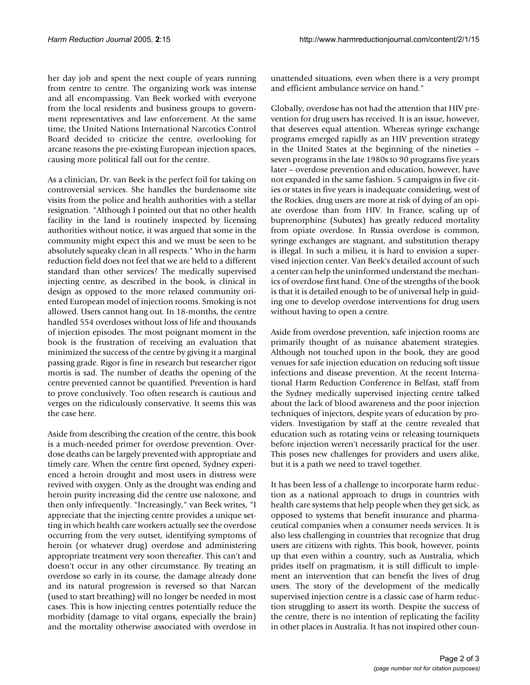her day job and spent the next couple of years running from centre to centre. The organizing work was intense and all encompassing. Van Beek worked with everyone from the local residents and business groups to government representatives and law enforcement. At the same time, the United Nations International Narcotics Control Board decided to criticize the centre, overlooking for arcane reasons the pre-existing European injection spaces, causing more political fall out for the centre.

As a clinician, Dr. van Beek is the perfect foil for taking on controversial services. She handles the burdensome site visits from the police and health authorities with a stellar resignation. "Although I pointed out that no other health facility in the land is routinely inspected by licensing authorities without notice, it was argued that some in the community might expect this and we must be seen to be absolutely squeaky clean in all respects." Who in the harm reduction field does not feel that we are held to a different standard than other services? The medically supervised injecting centre, as described in the book, is clinical in design as opposed to the more relaxed community oriented European model of injection rooms. Smoking is not allowed. Users cannot hang out. In 18-months, the centre handled 554 overdoses without loss of life and thousands of injection episodes. The most poignant moment in the book is the frustration of receiving an evaluation that minimized the success of the centre by giving it a marginal passing grade. Rigor is fine in research but researcher rigor mortis is sad. The number of deaths the opening of the centre prevented cannot be quantified. Prevention is hard to prove conclusively. Too often research is cautious and verges on the ridiculously conservative. It seems this was the case here.

Aside from describing the creation of the centre, this book is a much-needed primer for overdose prevention. Overdose deaths can be largely prevented with appropriate and timely care. When the centre first opened, Sydney experienced a heroin drought and most users in distress were revived with oxygen. Only as the drought was ending and heroin purity increasing did the centre use naloxone, and then only infrequently. "Increasingly," van Beek writes, "I appreciate that the injecting centre provides a unique setting in which health care workers actually see the overdose occurring from the very outset, identifying symptoms of heroin (or whatever drug) overdose and administering appropriate treatment very soon thereafter. This can't and doesn't occur in any other circumstance. By treating an overdose so early in its course, the damage already done and its natural progression is reversed so that Narcan (used to start breathing) will no longer be needed in most cases. This is how injecting centres potentially reduce the morbidity (damage to vital organs, especially the brain) and the mortality otherwise associated with overdose in

unattended situations, even when there is a very prompt and efficient ambulance service on hand."

Globally, overdose has not had the attention that HIV prevention for drug users has received. It is an issue, however, that deserves equal attention. Whereas syringe exchange programs emerged rapidly as an HIV prevention strategy in the United States at the beginning of the nineties – seven programs in the late 1980s to 90 programs five years later – overdose prevention and education, however, have not expanded in the same fashion. 5 campaigns in five cities or states in five years is inadequate considering, west of the Rockies, drug users are more at risk of dying of an opiate overdose than from HIV. In France, scaling up of buprenorphine (Subutex) has greatly reduced mortality from opiate overdose. In Russia overdose is common, syringe exchanges are stagnant, and substitution therapy is illegal. In such a milieu, it is hard to envision a supervised injection center. Van Beek's detailed account of such a center can help the uninformed understand the mechanics of overdose first hand. One of the strengths of the book is that it is detailed enough to be of universal help in guiding one to develop overdose interventions for drug users without having to open a centre.

Aside from overdose prevention, safe injection rooms are primarily thought of as nuisance abatement strategies. Although not touched upon in the book, they are good venues for safe injection education on reducing soft tissue infections and disease prevention. At the recent International Harm Reduction Conference in Belfast, staff from the Sydney medically supervised injecting centre talked about the lack of blood awareness and the poor injection techniques of injectors, despite years of education by providers. Investigation by staff at the centre revealed that education such as rotating veins or releasing tourniquets before injection weren't necessarily practical for the user. This poses new challenges for providers and users alike, but it is a path we need to travel together.

It has been less of a challenge to incorporate harm reduction as a national approach to drugs in countries with health care systems that help people when they get sick, as opposed to systems that benefit insurance and pharmaceutical companies when a consumer needs services. It is also less challenging in countries that recognize that drug users are citizens with rights. This book, however, points up that even within a country, such as Australia, which prides itself on pragmatism, it is still difficult to implement an intervention that can benefit the lives of drug users. The story of the development of the medically supervised injection centre is a classic case of harm reduction struggling to assert its worth. Despite the success of the centre, there is no intention of replicating the facility in other places in Australia. It has not inspired other coun-